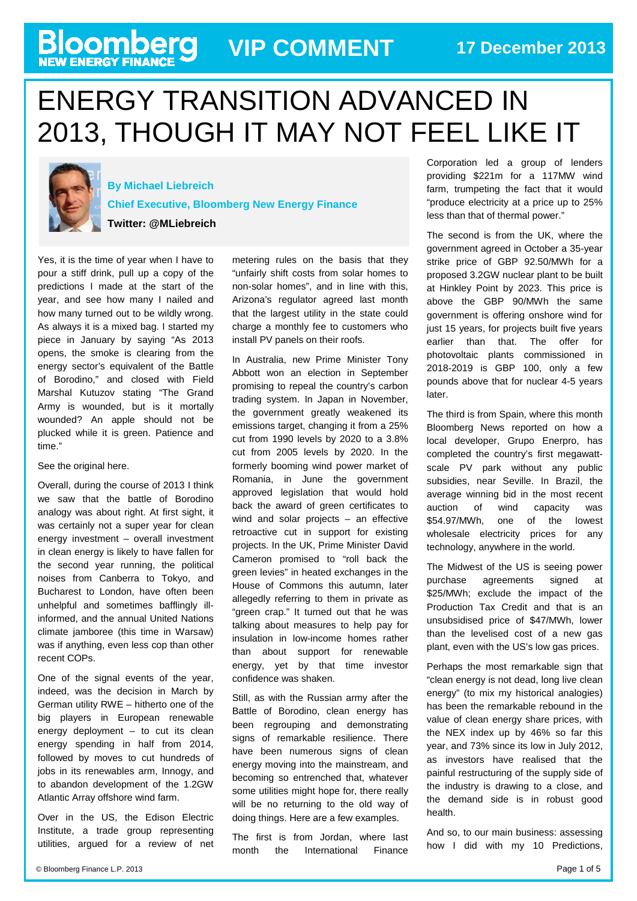# **Bloomberg** VIP COMMENT 17 December 2013

## ENERGY TRANSITION ADVANCED IN 2013, THOUGH IT MAY NOT FEEL LIKE IT



**By Michael Liebreich**

**Chief Executive, Bloomberg New Energy Finance**

**Twitter: @MLiebreich**

Yes, it is the time of year when I have to pour a stiff drink, pull up a copy of the predictions I made at the start of the year, and see how many I nailed and how many turned out to be wildly wrong. As always it is a mixed bag. I started my piece in January by saying "As 2013 opens, the smoke is clearing from the energy sector's equivalent of the Battle of Borodino," and closed with Field Marshal Kutuzov stating "The Grand Army is wounded, but is it mortally wounded? An apple should not be plucked while it is green. Patience and time."

#### See the original [here.](http://about.bnef.com/blog/2013-smoke-clears-from-the-battlefield-many-casualties-but-campaign-continues/)

Overall, during the course of 2013 I think we saw that the battle of Borodino analogy was about right. At first sight, it was certainly not a super year for clean energy investment – overall investment in clean energy is likely to have fallen for the second year running, the political noises from Canberra to Tokyo, and Bucharest to London, have often been unhelpful and sometimes bafflingly illinformed, and the annual United Nations climate jamboree (this time in Warsaw) was if anything, even less cop than other recent COPs.

One of the signal events of the year, indeed, was the decision in March by German utility RWE – hitherto one of the big players in European renewable energy deployment – to cut its clean energy spending in half from 2014, followed by moves to cut hundreds of jobs in its renewables arm, Innogy, and to abandon development of the 1.2GW Atlantic Array offshore wind farm.

Over in the US, the Edison Electric Institute, a trade group representing utilities, argued for a review of net metering rules on the basis that they "unfairly shift costs from solar homes to non-solar homes", and in line with this, Arizona's regulator agreed last month that the largest utility in the state could charge a monthly fee to customers who install PV panels on their roofs.

In Australia, new Prime Minister Tony Abbott won an election in September promising to repeal the country's carbon trading system. In Japan in November, the government greatly weakened its emissions target, changing it from a 25% cut from 1990 levels by 2020 to a 3.8% cut from 2005 levels by 2020. In the formerly booming wind power market of Romania, in June the government approved legislation that would hold back the award of green certificates to wind and solar projects – an effective retroactive cut in support for existing projects. In the UK, Prime Minister David Cameron promised to "roll back the green levies" in heated exchanges in the House of Commons this autumn, later allegedly referring to them in private as "green crap." It turned out that he was talking about measures to help pay for insulation in low-income homes rather than about support for renewable energy, yet by that time investor confidence was shaken.

Still, as with the Russian army after the Battle of Borodino, clean energy has been regrouping and demonstrating signs of remarkable resilience. There have been numerous signs of clean energy moving into the mainstream, and becoming so entrenched that, whatever some utilities might hope for, there really will be no returning to the old way of doing things. Here are a few examples.

The first is from Jordan, where last month the International Finance

Corporation led a group of lenders providing \$221m for a 117MW wind farm, trumpeting the fact that it would "produce electricity at a price up to 25% less than that of thermal power."

The second is from the UK, where the government agreed in October a 35-year strike price of GBP 92.50/MWh for a proposed 3.2GW nuclear plant to be built at Hinkley Point by 2023. This price is above the GBP 90/MWh the same government is offering onshore wind for just 15 years, for projects built five years earlier than that. The offer for photovoltaic plants commissioned in 2018-2019 is GBP 100, only a few pounds above that for nuclear 4-5 years later.

The third is from Spain, where this month Bloomberg News reported on how a local developer, Grupo Enerpro, has completed the country's first megawattscale PV park without any public subsidies, near Seville. In Brazil, the average winning bid in the most recent auction of wind capacity was \$54.97/MWh, one of the lowest wholesale electricity prices for any technology, anywhere in the world.

The Midwest of the US is seeing power purchase agreements signed at \$25/MWh; exclude the impact of the Production Tax Credit and that is an unsubsidised price of \$47/MWh, lower than the levelised cost of a new gas plant, even with the US's low gas prices.

Perhaps the most remarkable sign that "clean energy is not dead, long live clean energy" (to mix my historical analogies) has been the remarkable rebound in the value of clean energy share prices, with the NEX index up by 46% so far this year, and 73% since its low in July 2012, as investors have realised that the painful restructuring of the supply side of the industry is drawing to a close, and the demand side is in robust good health.

And so, to our main business: assessing how I did with my 10 Predictions,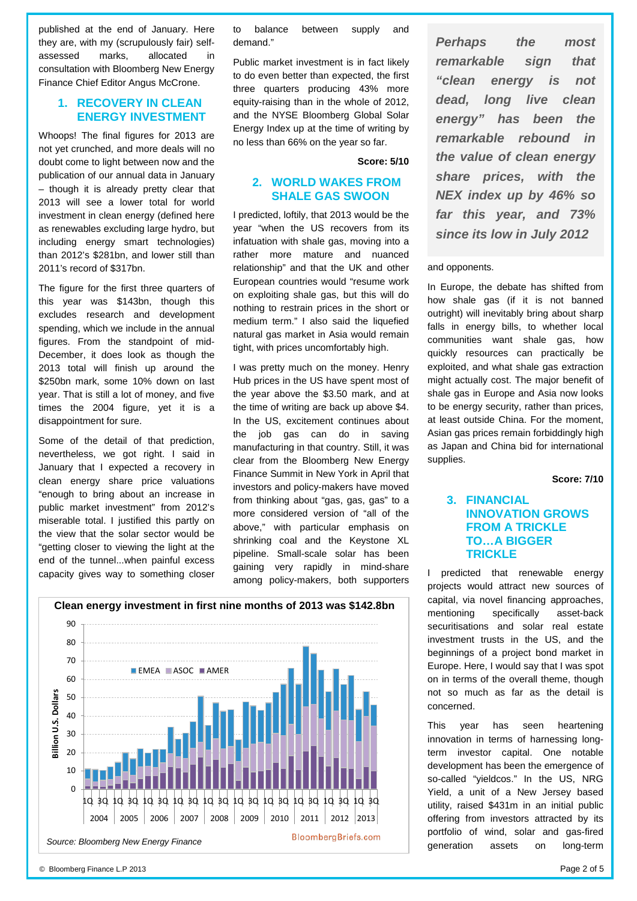published at the end of January. Here they are, with my (scrupulously fair) selfassessed marks, allocated in consultation with Bloomberg New Energy Finance Chief Editor Angus McCrone.

#### **1. RECOVERY IN CLEAN ENERGY INVESTMENT**

Whoops! The final figures for 2013 are not yet crunched, and more deals will no doubt come to light between now and the publication of our annual data in January – though it is already pretty clear that 2013 will see a lower total for world investment in clean energy (defined here as renewables excluding large hydro, but including energy smart technologies) than 2012's \$281bn, and lower still than 2011's record of \$317bn.

The figure for the first three quarters of this year was \$143bn, though this excludes research and development spending, which we include in the annual figures. From the standpoint of mid-December, it does look as though the 2013 total will finish up around the \$250bn mark, some 10% down on last year. That is still a lot of money, and five times the 2004 figure, yet it is a disappointment for sure.

Some of the detail of that prediction, nevertheless, we got right. I said in January that I expected a recovery in clean energy share price valuations "enough to bring about an increase in public market investment" from 2012's miserable total. I justified this partly on the view that the solar sector would be "getting closer to viewing the light at the end of the tunnel...when painful excess capacity gives way to something closer to balance between supply and demand."

Public market investment is in fact likely to do even better than expected, the first three quarters producing 43% more equity-raising than in the whole of 2012, and the NYSE Bloomberg Global Solar Energy Index up at the time of writing by no less than 66% on the year so far.

#### **Score: 5/10**

### **2. WORLD WAKES FROM SHALE GAS SWOON**

I predicted, loftily, that 2013 would be the year "when the US recovers from its infatuation with shale gas, moving into a rather more mature and nuanced relationship" and that the UK and other European countries would "resume work on exploiting shale gas, but this will do nothing to restrain prices in the short or medium term." I also said the liquefied natural gas market in Asia would remain tight, with prices uncomfortably high.

I was pretty much on the money. Henry Hub prices in the US have spent most of the year above the \$3.50 mark, and at the time of writing are back up above \$4. In the US, excitement continues about the job gas can do in saving manufacturing in that country. Still, it was clear from the Bloomberg New Energy Finance Summit in New York in April that investors and policy-makers have moved from thinking about "gas, gas, gas" to a more considered version of "all of the above," with particular emphasis on shrinking coal and the Keystone XL pipeline. Small-scale solar has been gaining very rapidly in mind-share among policy-makers, both supporters



*Perhaps the most remarkable sign that "clean energy is not dead, long live clean energy" has been the remarkable rebound in the value of clean energy share prices, with the NEX index up by 46% so far this year, and 73% since its low in July 2012*

#### and opponents.

In Europe, the debate has shifted from how shale gas (if it is not banned outright) will inevitably bring about sharp falls in energy bills, to whether local communities want shale gas, how quickly resources can practically be exploited, and what shale gas extraction might actually cost. The major benefit of shale gas in Europe and Asia now looks to be energy security, rather than prices, at least outside China. For the moment, Asian gas prices remain forbiddingly high as Japan and China bid for international supplies.

**Score: 7/10**

#### **3. FINANCIAL INNOVATION GROWS FROM A TRICKLE TO…A BIGGER TRICKLE**

I predicted that renewable energy projects would attract new sources of capital, via novel financing approaches, mentioning specifically asset-back securitisations and solar real estate investment trusts in the US, and the beginnings of a project bond market in Europe. Here, I would say that I was spot on in terms of the overall theme, though not so much as far as the detail is concerned.

This year has seen heartening innovation in terms of harnessing longterm investor capital. One notable development has been the emergence of so-called "yieldcos." In the US, NRG Yield, a unit of a New Jersey based utility, raised \$431m in an initial public offering from investors attracted by its portfolio of wind, solar and gas-fired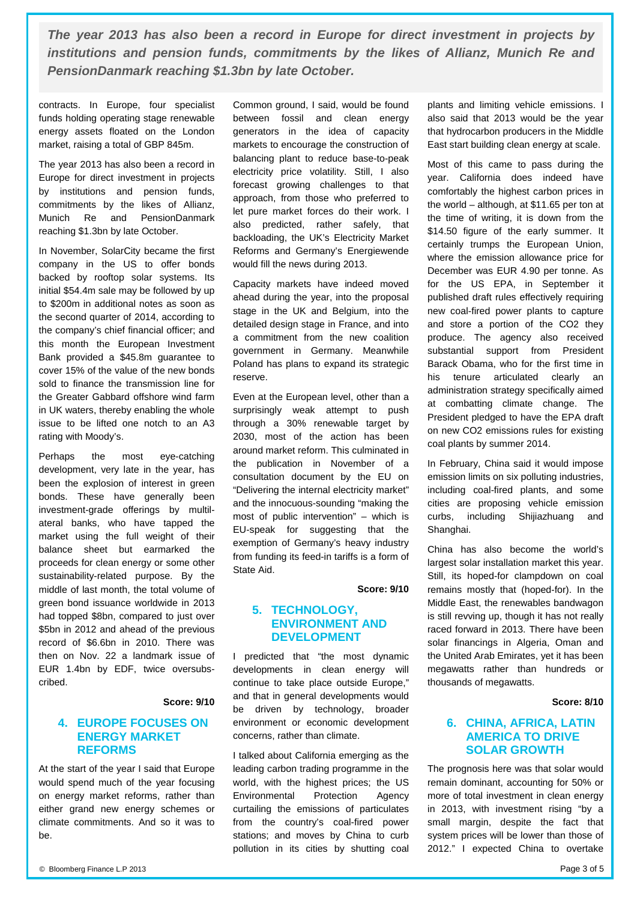*The year 2013 has also been a record in Europe for direct investment in projects by institutions and pension funds, commitments by the likes of Allianz, Munich Re and PensionDanmark reaching \$1.3bn by late October.*

contracts. In Europe, four specialist funds holding operating stage renewable energy assets floated on the London market, raising a total of GBP 845m.

The year 2013 has also been a record in Europe for direct investment in projects by institutions and pension funds, commitments by the likes of Allianz, Munich Re and PensionDanmark reaching \$1.3bn by late October.

In November, SolarCity became the first company in the US to offer bonds backed by rooftop solar systems. Its initial \$54.4m sale may be followed by up to \$200m in additional notes as soon as the second quarter of 2014, according to the company's chief financial officer; and this month the European Investment Bank provided a \$45.8m guarantee to cover 15% of the value of the new bonds sold to finance the transmission line for the Greater Gabbard offshore wind farm in UK waters, thereby enabling the whole issue to be lifted one notch to an A3 rating with Moody's.

Perhaps the most eye-catching development, very late in the year, has been the explosion of interest in green bonds. These have generally been investment-grade offerings by multilateral banks, who have tapped the market using the full weight of their balance sheet but earmarked the proceeds for clean energy or some other sustainability-related purpose. By the middle of last month, the total volume of green bond issuance worldwide in 2013 had topped \$8bn, compared to just over \$5bn in 2012 and ahead of the previous record of \$6.6bn in 2010. There was then on Nov. 22 a landmark issue of EUR 1.4bn by EDF, twice oversubscribed.

#### **Score: 9/10**

#### **4. EUROPE FOCUSES ON ENERGY MARKET REFORMS**

At the start of the year I said that Europe would spend much of the year focusing on energy market reforms, rather than either grand new energy schemes or climate commitments. And so it was to be.

Common ground, I said, would be found between fossil and clean energy generators in the idea of capacity markets to encourage the construction of balancing plant to reduce base-to-peak electricity price volatility. Still, I also forecast growing challenges to that approach, from those who preferred to let pure market forces do their work. I also predicted, rather safely, that backloading, the UK's Electricity Market Reforms and Germany's Energiewende would fill the news during 2013.

Capacity markets have indeed moved ahead during the year, into the proposal stage in the UK and Belgium, into the detailed design stage in France, and into a commitment from the new coalition government in Germany. Meanwhile Poland has plans to expand its strategic reserve.

Even at the European level, other than a surprisingly weak attempt to push through a 30% renewable target by 2030, most of the action has been around market reform. This culminated in the publication in November of a consultation document by the EU on "Delivering the internal electricity market" and the innocuous-sounding "making the most of public intervention" – which is EU-speak for suggesting that the exemption of Germany's heavy industry from funding its feed-in tariffs is a form of State Aid.

**Score: 9/10**

#### **5. TECHNOLOGY, ENVIRONMENT AND DEVELOPMENT**

I predicted that "the most dynamic developments in clean energy will continue to take place outside Europe," and that in general developments would be driven by technology, broader environment or economic development concerns, rather than climate.

I talked about California emerging as the leading carbon trading programme in the world, with the highest prices; the US Environmental Protection Agency curtailing the emissions of particulates from the country's coal-fired power stations; and moves by China to curb pollution in its cities by shutting coal plants and limiting vehicle emissions. I also said that 2013 would be the year that hydrocarbon producers in the Middle East start building clean energy at scale.

Most of this came to pass during the year. California does indeed have comfortably the highest carbon prices in the world – although, at \$11.65 per ton at the time of writing, it is down from the \$14.50 figure of the early summer. It certainly trumps the European Union, where the emission allowance price for December was EUR 4.90 per tonne. As for the US EPA, in September it published draft rules effectively requiring new coal-fired power plants to capture and store a portion of the CO2 they produce. The agency also received substantial support from President Barack Obama, who for the first time in his tenure articulated clearly an administration strategy specifically aimed at combatting climate change. The President pledged to have the EPA draft on new CO2 emissions rules for existing coal plants by summer 2014.

In February, China said it would impose emission limits on six polluting industries, including coal-fired plants, and some cities are proposing vehicle emission curbs, including Shijiazhuang and Shanghai.

China has also become the world's largest solar installation market this year. Still, its hoped-for clampdown on coal remains mostly that (hoped-for). In the Middle East, the renewables bandwagon is still revving up, though it has not really raced forward in 2013. There have been solar financings in Algeria, Oman and the United Arab Emirates, yet it has been megawatts rather than hundreds or thousands of megawatts.

#### **Score: 8/10**

#### **6. CHINA, AFRICA, LATIN AMERICA TO DRIVE SOLAR GROWTH**

The prognosis here was that solar would remain dominant, accounting for 50% or more of total investment in clean energy in 2013, with investment rising "by a small margin, despite the fact that system prices will be lower than those of 2012." I expected China to overtake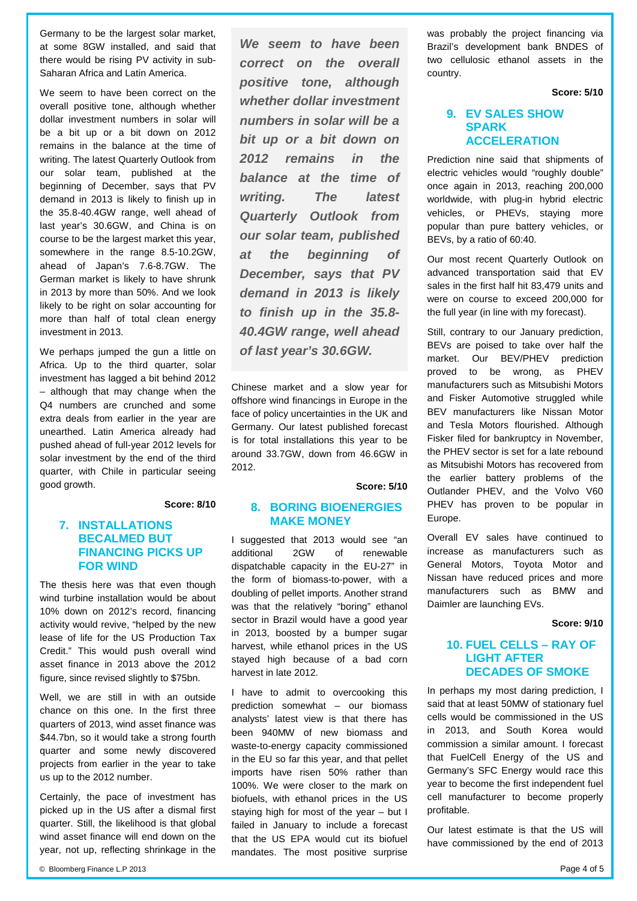Germany to be the largest solar market, at some 8GW installed, and said that there would be rising PV activity in sub-Saharan Africa and Latin America.

We seem to have been correct on the overall positive tone, although whether dollar investment numbers in solar will be a bit up or a bit down on 2012 remains in the balance at the time of writing. The latest Quarterly Outlook from our solar team, published at the beginning of December, says that PV demand in 2013 is likely to finish up in the 35.8-40.4GW range, well ahead of last year's 30.6GW, and China is on course to be the largest market this year, somewhere in the range 8.5-10.2GW, ahead of Japan's 7.6-8.7GW. The German market is likely to have shrunk in 2013 by more than 50%. And we look likely to be right on solar accounting for more than half of total clean energy investment in 2013.

We perhaps jumped the gun a little on Africa. Up to the third quarter, solar investment has lagged a bit behind 2012 – although that may change when the Q4 numbers are crunched and some extra deals from earlier in the year are unearthed. Latin America already had pushed ahead of full-year 2012 levels for solar investment by the end of the third quarter, with Chile in particular seeing good growth.

**Score: 8/10**

#### **7. INSTALLATIONS BECALMED BUT FINANCING PICKS UP FOR WIND**

The thesis here was that even though wind turbine installation would be about 10% down on 2012's record, financing activity would revive, "helped by the new lease of life for the US Production Tax Credit." This would push overall wind asset finance in 2013 above the 2012 figure, since revised slightly to \$75bn.

Well, we are still in with an outside chance on this one. In the first three quarters of 2013, wind asset finance was \$44.7bn, so it would take a strong fourth quarter and some newly discovered projects from earlier in the year to take us up to the 2012 number.

Certainly, the pace of investment has picked up in the US after a dismal first quarter. Still, the likelihood is that global wind asset finance will end down on the year, not up, reflecting shrinkage in the

*We seem to have been correct on the overall positive tone, although whether dollar investment numbers in solar will be a bit up or a bit down on 2012 remains in the balance at the time of writing. The latest Quarterly Outlook from our solar team, published at the beginning of December, says that PV demand in 2013 is likely to finish up in the 35.8- 40.4GW range, well ahead of last year's 30.6GW.*

Chinese market and a slow year for offshore wind financings in Europe in the face of policy uncertainties in the UK and Germany. Our latest published forecast is for total installations this year to be around 33.7GW, down from 46.6GW in 2012.

**Score: 5/10**

#### **8. BORING BIOENERGIES MAKE MONEY**

I suggested that 2013 would see "an additional 2GW of renewable dispatchable capacity in the EU-27" in the form of biomass-to-power, with a doubling of pellet imports. Another strand was that the relatively "boring" ethanol sector in Brazil would have a good year in 2013, boosted by a bumper sugar harvest, while ethanol prices in the US stayed high because of a bad corn harvest in late 2012.

I have to admit to overcooking this prediction somewhat – our biomass analysts' latest view is that there has been 940MW of new biomass and waste-to-energy capacity commissioned in the EU so far this year, and that pellet imports have risen 50% rather than 100%. We were closer to the mark on biofuels, with ethanol prices in the US staying high for most of the year – but I failed in January to include a forecast that the US EPA would cut its biofuel mandates. The most positive surprise was probably the project financing via Brazil's development bank BNDES of two cellulosic ethanol assets in the country.

**Score: 5/10**

#### **9. EV SALES SHOW SPARK ACCELERATION**

Prediction nine said that shipments of electric vehicles would "roughly double" once again in 2013, reaching 200,000 worldwide, with plug-in hybrid electric vehicles, or PHEVs, staying more popular than pure battery vehicles, or BEVs, by a ratio of 60:40.

Our most recent Quarterly Outlook on advanced transportation said that EV sales in the first half hit 83,479 units and were on course to exceed 200,000 for the full year (in line with my forecast).

Still, contrary to our January prediction, BEVs are poised to take over half the market. Our BEV/PHEV prediction proved to be wrong, as PHEV manufacturers such as Mitsubishi Motors and Fisker Automotive struggled while BEV manufacturers like Nissan Motor and Tesla Motors flourished. Although Fisker filed for bankruptcy in November, the PHEV sector is set for a late rebound as Mitsubishi Motors has recovered from the earlier battery problems of the Outlander PHEV, and the Volvo V60 PHEV has proven to be popular in Europe.

Overall EV sales have continued to increase as manufacturers such as General Motors, Toyota Motor and Nissan have reduced prices and more manufacturers such as BMW and Daimler are launching EVs.

**Score: 9/10**

#### **10. FUEL CELLS – RAY OF LIGHT AFTER DECADES OF SMOKE**

In perhaps my most daring prediction, I said that at least 50MW of stationary fuel cells would be commissioned in the US in 2013, and South Korea would commission a similar amount. I forecast that FuelCell Energy of the US and Germany's SFC Energy would race this year to become the first independent fuel cell manufacturer to become properly profitable.

Our latest estimate is that the US will have commissioned by the end of 2013